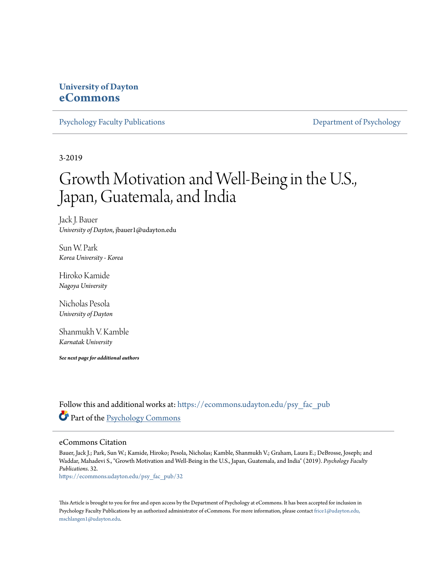# **University of Dayton [eCommons](https://ecommons.udayton.edu?utm_source=ecommons.udayton.edu%2Fpsy_fac_pub%2F32&utm_medium=PDF&utm_campaign=PDFCoverPages)**

[Psychology Faculty Publications](https://ecommons.udayton.edu/psy_fac_pub?utm_source=ecommons.udayton.edu%2Fpsy_fac_pub%2F32&utm_medium=PDF&utm_campaign=PDFCoverPages) [Department of Psychology](https://ecommons.udayton.edu/psy?utm_source=ecommons.udayton.edu%2Fpsy_fac_pub%2F32&utm_medium=PDF&utm_campaign=PDFCoverPages)

3-2019

# Growth Motivation and Well-Being in the U.S., Japan, Guatemala, and India

Jack J. Bauer *University of Dayton*, jbauer1@udayton.edu

Sun W. Park *Korea University - Korea*

Hiroko Kamide *Nagoya University*

Nicholas Pesola *University of Dayton*

Shanmukh V. Kamble *Karnatak University*

*See next page for additional authors*

Follow this and additional works at: [https://ecommons.udayton.edu/psy\\_fac\\_pub](https://ecommons.udayton.edu/psy_fac_pub?utm_source=ecommons.udayton.edu%2Fpsy_fac_pub%2F32&utm_medium=PDF&utm_campaign=PDFCoverPages) Part of the [Psychology Commons](http://network.bepress.com/hgg/discipline/404?utm_source=ecommons.udayton.edu%2Fpsy_fac_pub%2F32&utm_medium=PDF&utm_campaign=PDFCoverPages)

#### eCommons Citation

Bauer, Jack J.; Park, Sun W.; Kamide, Hiroko; Pesola, Nicholas; Kamble, Shanmukh V.; Graham, Laura E.; DeBrosse, Joseph; and Waddar, Mahadevi S., "Growth Motivation and Well-Being in the U.S., Japan, Guatemala, and India" (2019). *Psychology Faculty Publications*. 32.

[https://ecommons.udayton.edu/psy\\_fac\\_pub/32](https://ecommons.udayton.edu/psy_fac_pub/32?utm_source=ecommons.udayton.edu%2Fpsy_fac_pub%2F32&utm_medium=PDF&utm_campaign=PDFCoverPages)

This Article is brought to you for free and open access by the Department of Psychology at eCommons. It has been accepted for inclusion in Psychology Faculty Publications by an authorized administrator of eCommons. For more information, please contact [frice1@udayton.edu,](mailto:frice1@udayton.edu,%20mschlangen1@udayton.edu) [mschlangen1@udayton.edu.](mailto:frice1@udayton.edu,%20mschlangen1@udayton.edu)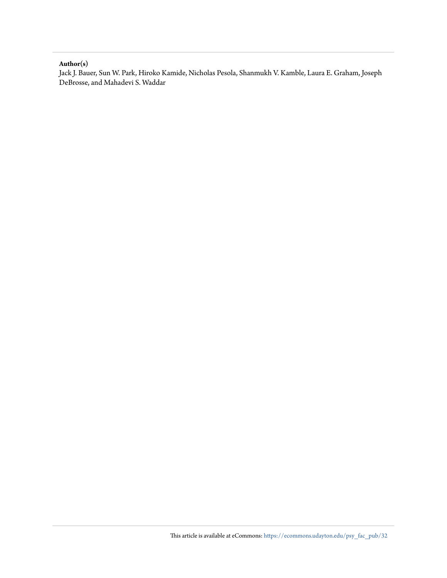#### **Author(s)**

Jack J. Bauer, Sun W. Park, Hiroko Kamide, Nicholas Pesola, Shanmukh V. Kamble, Laura E. Graham, Joseph DeBrosse, and Mahadevi S. Waddar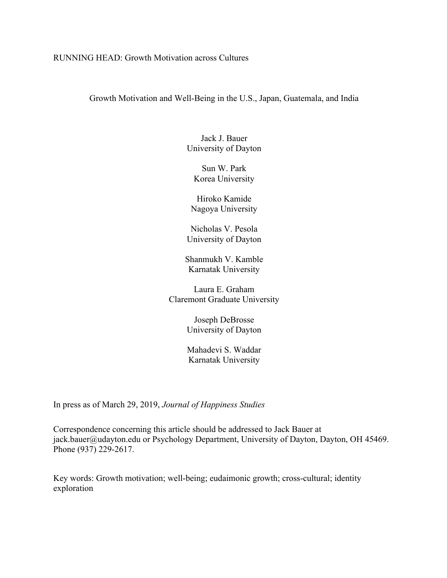## RUNNING HEAD: Growth Motivation across Cultures

Growth Motivation and Well-Being in the U.S., Japan, Guatemala, and India

Jack J. Bauer University of Dayton

Sun W. Park Korea University

Hiroko Kamide Nagoya University

Nicholas V. Pesola University of Dayton

Shanmukh V. Kamble Karnatak University

Laura E. Graham Claremont Graduate University

> Joseph DeBrosse University of Dayton

Mahadevi S. Waddar Karnatak University

In press as of March 29, 2019, *Journal of Happiness Studies*

Correspondence concerning this article should be addressed to Jack Bauer at jack.bauer@udayton.edu or Psychology Department, University of Dayton, Dayton, OH 45469. Phone (937) 229-2617.

Key words: Growth motivation; well-being; eudaimonic growth; cross-cultural; identity exploration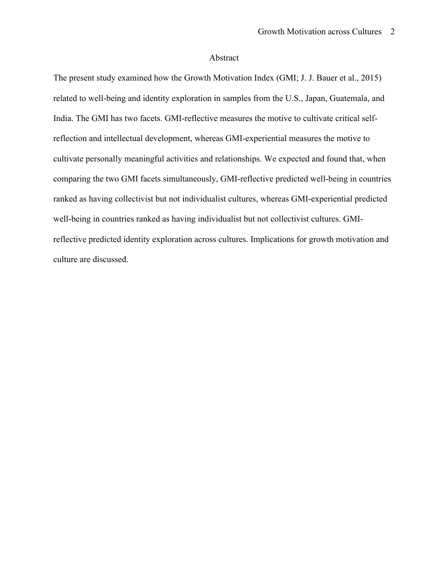## Abstract

The present study examined how the Growth Motivation Index (GMI; J. J. Bauer et al., 2015) related to well-being and identity exploration in samples from the U.S., Japan, Guatemala, and India. The GMI has two facets. GMI-reflective measures the motive to cultivate critical selfreflection and intellectual development, whereas GMI-experiential measures the motive to cultivate personally meaningful activities and relationships. We expected and found that, when comparing the two GMI facets simultaneously, GMI-reflective predicted well-being in countries ranked as having collectivist but not individualist cultures, whereas GMI-experiential predicted well-being in countries ranked as having individualist but not collectivist cultures. GMIreflective predicted identity exploration across cultures. Implications for growth motivation and culture are discussed.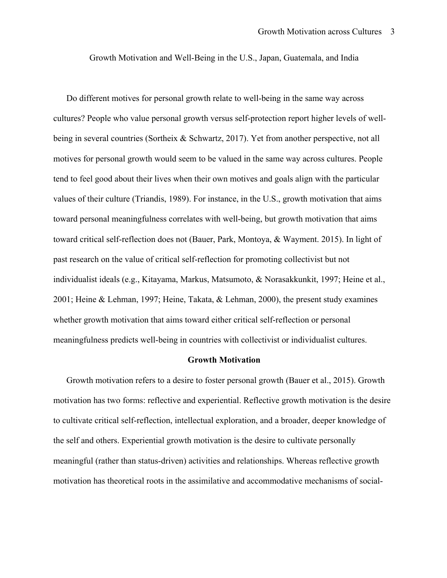Growth Motivation and Well-Being in the U.S., Japan, Guatemala, and India

Do different motives for personal growth relate to well-being in the same way across cultures? People who value personal growth versus self-protection report higher levels of wellbeing in several countries (Sortheix & Schwartz, 2017). Yet from another perspective, not all motives for personal growth would seem to be valued in the same way across cultures. People tend to feel good about their lives when their own motives and goals align with the particular values of their culture (Triandis, 1989). For instance, in the U.S., growth motivation that aims toward personal meaningfulness correlates with well-being, but growth motivation that aims toward critical self-reflection does not (Bauer, Park, Montoya, & Wayment. 2015). In light of past research on the value of critical self-reflection for promoting collectivist but not individualist ideals (e.g., Kitayama, Markus, Matsumoto, & Norasakkunkit, 1997; Heine et al., 2001; Heine & Lehman, 1997; Heine, Takata, & Lehman, 2000), the present study examines whether growth motivation that aims toward either critical self-reflection or personal meaningfulness predicts well-being in countries with collectivist or individualist cultures.

#### **Growth Motivation**

Growth motivation refers to a desire to foster personal growth (Bauer et al., 2015). Growth motivation has two forms: reflective and experiential. Reflective growth motivation is the desire to cultivate critical self-reflection, intellectual exploration, and a broader, deeper knowledge of the self and others. Experiential growth motivation is the desire to cultivate personally meaningful (rather than status-driven) activities and relationships. Whereas reflective growth motivation has theoretical roots in the assimilative and accommodative mechanisms of social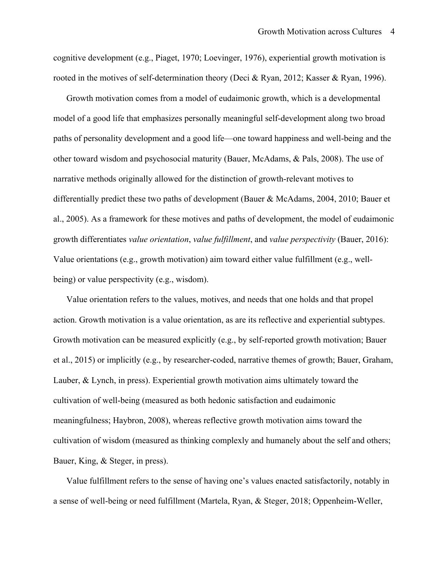cognitive development (e.g., Piaget, 1970; Loevinger, 1976), experiential growth motivation is rooted in the motives of self-determination theory (Deci & Ryan, 2012; Kasser & Ryan, 1996).

Growth motivation comes from a model of eudaimonic growth, which is a developmental model of a good life that emphasizes personally meaningful self-development along two broad paths of personality development and a good life—one toward happiness and well-being and the other toward wisdom and psychosocial maturity (Bauer, McAdams, & Pals, 2008). The use of narrative methods originally allowed for the distinction of growth-relevant motives to differentially predict these two paths of development (Bauer & McAdams, 2004, 2010; Bauer et al., 2005). As a framework for these motives and paths of development, the model of eudaimonic growth differentiates *value orientation*, *value fulfillment*, and *value perspectivity* (Bauer, 2016): Value orientations (e.g., growth motivation) aim toward either value fulfillment (e.g., wellbeing) or value perspectivity (e.g., wisdom).

Value orientation refers to the values, motives, and needs that one holds and that propel action. Growth motivation is a value orientation, as are its reflective and experiential subtypes. Growth motivation can be measured explicitly (e.g., by self-reported growth motivation; Bauer et al., 2015) or implicitly (e.g., by researcher-coded, narrative themes of growth; Bauer, Graham, Lauber, & Lynch, in press). Experiential growth motivation aims ultimately toward the cultivation of well-being (measured as both hedonic satisfaction and eudaimonic meaningfulness; Haybron, 2008), whereas reflective growth motivation aims toward the cultivation of wisdom (measured as thinking complexly and humanely about the self and others; Bauer, King, & Steger, in press).

Value fulfillment refers to the sense of having one's values enacted satisfactorily, notably in a sense of well-being or need fulfillment (Martela, Ryan, & Steger, 2018; Oppenheim-Weller,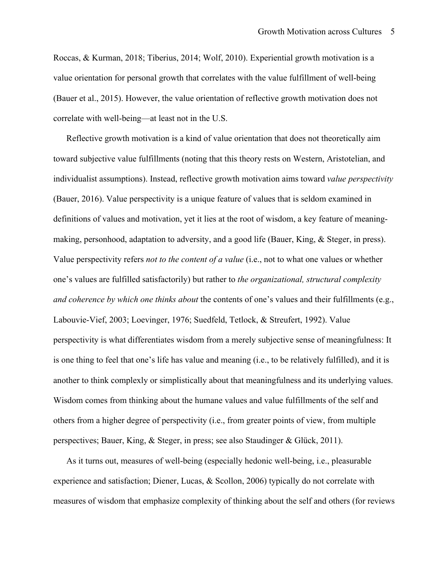Roccas, & Kurman, 2018; Tiberius, 2014; Wolf, 2010). Experiential growth motivation is a value orientation for personal growth that correlates with the value fulfillment of well-being (Bauer et al., 2015). However, the value orientation of reflective growth motivation does not correlate with well-being—at least not in the U.S.

Reflective growth motivation is a kind of value orientation that does not theoretically aim toward subjective value fulfillments (noting that this theory rests on Western, Aristotelian, and individualist assumptions). Instead, reflective growth motivation aims toward *value perspectivity* (Bauer, 2016). Value perspectivity is a unique feature of values that is seldom examined in definitions of values and motivation, yet it lies at the root of wisdom, a key feature of meaningmaking, personhood, adaptation to adversity, and a good life (Bauer, King, & Steger, in press). Value perspectivity refers *not to the content of a value* (i.e., not to what one values or whether one's values are fulfilled satisfactorily) but rather to *the organizational, structural complexity and coherence by which one thinks about* the contents of one's values and their fulfillments (e.g., Labouvie-Vief, 2003; Loevinger, 1976; Suedfeld, Tetlock, & Streufert, 1992). Value perspectivity is what differentiates wisdom from a merely subjective sense of meaningfulness: It is one thing to feel that one's life has value and meaning (i.e., to be relatively fulfilled), and it is another to think complexly or simplistically about that meaningfulness and its underlying values. Wisdom comes from thinking about the humane values and value fulfillments of the self and others from a higher degree of perspectivity (i.e., from greater points of view, from multiple perspectives; Bauer, King, & Steger, in press; see also Staudinger & Glück, 2011).

As it turns out, measures of well-being (especially hedonic well-being, i.e., pleasurable experience and satisfaction; Diener, Lucas, & Scollon, 2006) typically do not correlate with measures of wisdom that emphasize complexity of thinking about the self and others (for reviews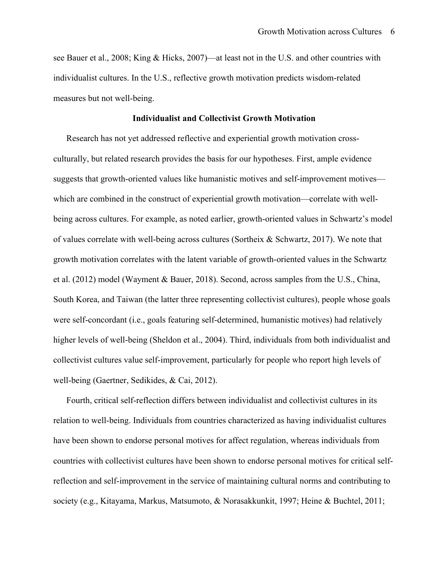see Bauer et al., 2008; King & Hicks, 2007)—at least not in the U.S. and other countries with individualist cultures. In the U.S., reflective growth motivation predicts wisdom-related measures but not well-being.

#### **Individualist and Collectivist Growth Motivation**

Research has not yet addressed reflective and experiential growth motivation crossculturally, but related research provides the basis for our hypotheses. First, ample evidence suggests that growth-oriented values like humanistic motives and self-improvement motives which are combined in the construct of experiential growth motivation—correlate with wellbeing across cultures. For example, as noted earlier, growth-oriented values in Schwartz's model of values correlate with well-being across cultures (Sortheix & Schwartz, 2017). We note that growth motivation correlates with the latent variable of growth-oriented values in the Schwartz et al. (2012) model (Wayment & Bauer, 2018). Second, across samples from the U.S., China, South Korea, and Taiwan (the latter three representing collectivist cultures), people whose goals were self-concordant (i.e., goals featuring self-determined, humanistic motives) had relatively higher levels of well-being (Sheldon et al., 2004). Third, individuals from both individualist and collectivist cultures value self-improvement, particularly for people who report high levels of well-being (Gaertner, Sedikides, & Cai, 2012).

Fourth, critical self-reflection differs between individualist and collectivist cultures in its relation to well-being. Individuals from countries characterized as having individualist cultures have been shown to endorse personal motives for affect regulation, whereas individuals from countries with collectivist cultures have been shown to endorse personal motives for critical selfreflection and self-improvement in the service of maintaining cultural norms and contributing to society (e.g., Kitayama, Markus, Matsumoto, & Norasakkunkit, 1997; Heine & Buchtel, 2011;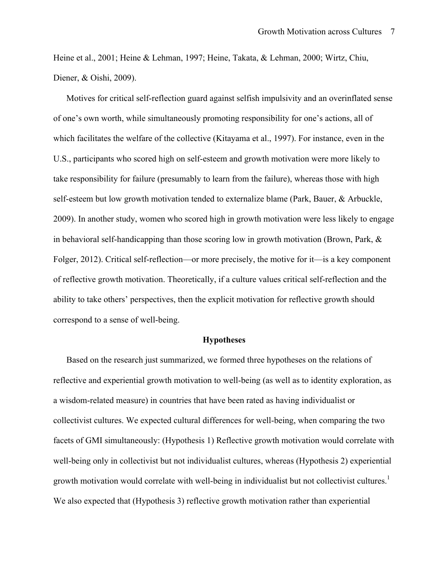Heine et al., 2001; Heine & Lehman, 1997; Heine, Takata, & Lehman, 2000; Wirtz, Chiu, Diener, & Oishi, 2009).

Motives for critical self-reflection guard against selfish impulsivity and an overinflated sense of one's own worth, while simultaneously promoting responsibility for one's actions, all of which facilitates the welfare of the collective (Kitayama et al., 1997). For instance, even in the U.S., participants who scored high on self-esteem and growth motivation were more likely to take responsibility for failure (presumably to learn from the failure), whereas those with high self-esteem but low growth motivation tended to externalize blame (Park, Bauer, & Arbuckle, 2009). In another study, women who scored high in growth motivation were less likely to engage in behavioral self-handicapping than those scoring low in growth motivation (Brown, Park, & Folger, 2012). Critical self-reflection—or more precisely, the motive for it—is a key component of reflective growth motivation. Theoretically, if a culture values critical self-reflection and the ability to take others' perspectives, then the explicit motivation for reflective growth should correspond to a sense of well-being.

#### **Hypotheses**

Based on the research just summarized, we formed three hypotheses on the relations of reflective and experiential growth motivation to well-being (as well as to identity exploration, as a wisdom-related measure) in countries that have been rated as having individualist or collectivist cultures. We expected cultural differences for well-being, when comparing the two facets of GMI simultaneously: (Hypothesis 1) Reflective growth motivation would correlate with well-being only in collectivist but not individualist cultures, whereas (Hypothesis 2) experiential growth motivation would correlate with well-being in individualist but not collectivist cultures.<sup>1</sup> We also expected that (Hypothesis 3) reflective growth motivation rather than experiential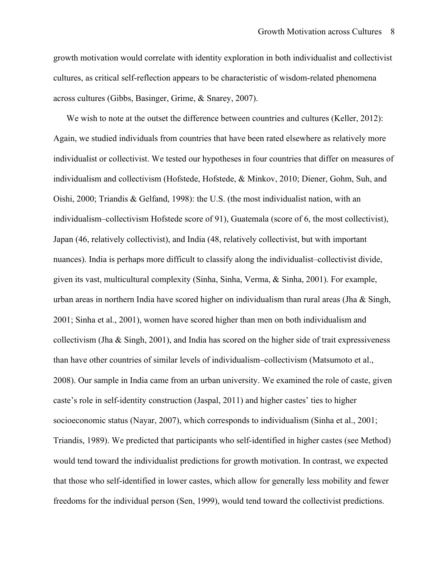growth motivation would correlate with identity exploration in both individualist and collectivist cultures, as critical self-reflection appears to be characteristic of wisdom-related phenomena across cultures (Gibbs, Basinger, Grime, & Snarey, 2007).

We wish to note at the outset the difference between countries and cultures (Keller, 2012): Again, we studied individuals from countries that have been rated elsewhere as relatively more individualist or collectivist. We tested our hypotheses in four countries that differ on measures of individualism and collectivism (Hofstede, Hofstede, & Minkov, 2010; Diener, Gohm, Suh, and Oishi, 2000; Triandis & Gelfand, 1998): the U.S. (the most individualist nation, with an individualism–collectivism Hofstede score of 91), Guatemala (score of 6, the most collectivist), Japan (46, relatively collectivist), and India (48, relatively collectivist, but with important nuances). India is perhaps more difficult to classify along the individualist–collectivist divide, given its vast, multicultural complexity (Sinha, Sinha, Verma, & Sinha, 2001). For example, urban areas in northern India have scored higher on individualism than rural areas (Jha & Singh, 2001; Sinha et al., 2001), women have scored higher than men on both individualism and collectivism (Jha & Singh, 2001), and India has scored on the higher side of trait expressiveness than have other countries of similar levels of individualism–collectivism (Matsumoto et al., 2008). Our sample in India came from an urban university. We examined the role of caste, given caste's role in self-identity construction (Jaspal, 2011) and higher castes' ties to higher socioeconomic status (Nayar, 2007), which corresponds to individualism (Sinha et al., 2001; Triandis, 1989). We predicted that participants who self-identified in higher castes (see Method) would tend toward the individualist predictions for growth motivation. In contrast, we expected that those who self-identified in lower castes, which allow for generally less mobility and fewer freedoms for the individual person (Sen, 1999), would tend toward the collectivist predictions.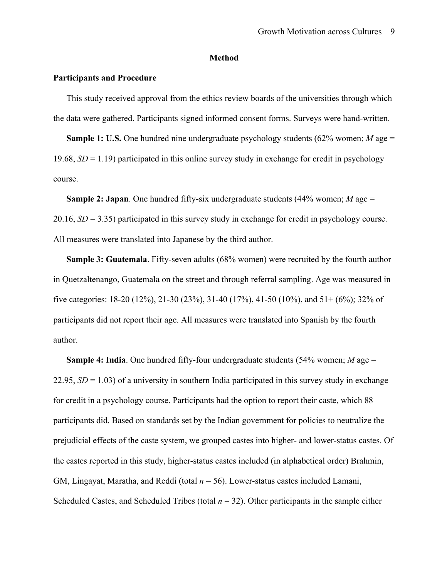## **Method**

## **Participants and Procedure**

This study received approval from the ethics review boards of the universities through which the data were gathered. Participants signed informed consent forms. Surveys were hand-written.

**Sample 1: U.S.** One hundred nine undergraduate psychology students (62% women; *M* age = 19.68,  $SD = 1.19$ ) participated in this online survey study in exchange for credit in psychology course.

**Sample 2: Japan**. One hundred fifty-six undergraduate students (44% women; *M* age = 20.16, *SD* = 3.35) participated in this survey study in exchange for credit in psychology course. All measures were translated into Japanese by the third author.

**Sample 3: Guatemala**. Fifty-seven adults (68% women) were recruited by the fourth author in Quetzaltenango, Guatemala on the street and through referral sampling. Age was measured in five categories: 18-20 (12%), 21-30 (23%), 31-40 (17%), 41-50 (10%), and 51+ (6%); 32% of participants did not report their age. All measures were translated into Spanish by the fourth author.

**Sample 4: India**. One hundred fifty-four undergraduate students (54% women; *M* age =  $22.95$ ,  $SD = 1.03$ ) of a university in southern India participated in this survey study in exchange for credit in a psychology course. Participants had the option to report their caste, which 88 participants did. Based on standards set by the Indian government for policies to neutralize the prejudicial effects of the caste system, we grouped castes into higher- and lower-status castes. Of the castes reported in this study, higher-status castes included (in alphabetical order) Brahmin, GM, Lingayat, Maratha, and Reddi (total *n* = 56). Lower-status castes included Lamani, Scheduled Castes, and Scheduled Tribes (total  $n = 32$ ). Other participants in the sample either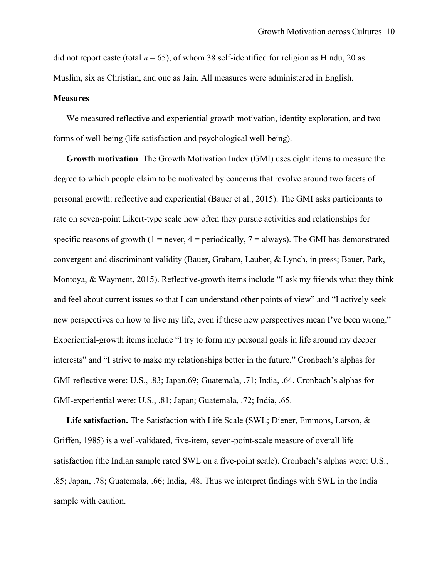did not report caste (total  $n = 65$ ), of whom 38 self-identified for religion as Hindu, 20 as Muslim, six as Christian, and one as Jain. All measures were administered in English.

#### **Measures**

We measured reflective and experiential growth motivation, identity exploration, and two forms of well-being (life satisfaction and psychological well-being).

**Growth motivation**. The Growth Motivation Index (GMI) uses eight items to measure the degree to which people claim to be motivated by concerns that revolve around two facets of personal growth: reflective and experiential (Bauer et al., 2015). The GMI asks participants to rate on seven-point Likert-type scale how often they pursue activities and relationships for specific reasons of growth (1 = never, 4 = periodically,  $7 =$  always). The GMI has demonstrated convergent and discriminant validity (Bauer, Graham, Lauber, & Lynch, in press; Bauer, Park, Montoya, & Wayment, 2015). Reflective-growth items include "I ask my friends what they think and feel about current issues so that I can understand other points of view" and "I actively seek new perspectives on how to live my life, even if these new perspectives mean I've been wrong." Experiential-growth items include "I try to form my personal goals in life around my deeper interests" and "I strive to make my relationships better in the future." Cronbach's alphas for GMI-reflective were: U.S., .83; Japan.69; Guatemala, .71; India, .64. Cronbach's alphas for GMI-experiential were: U.S., .81; Japan; Guatemala, .72; India, .65.

**Life satisfaction.** The Satisfaction with Life Scale (SWL; Diener, Emmons, Larson, & Griffen, 1985) is a well-validated, five-item, seven-point-scale measure of overall life satisfaction (the Indian sample rated SWL on a five-point scale). Cronbach's alphas were: U.S., .85; Japan, .78; Guatemala, .66; India, .48. Thus we interpret findings with SWL in the India sample with caution.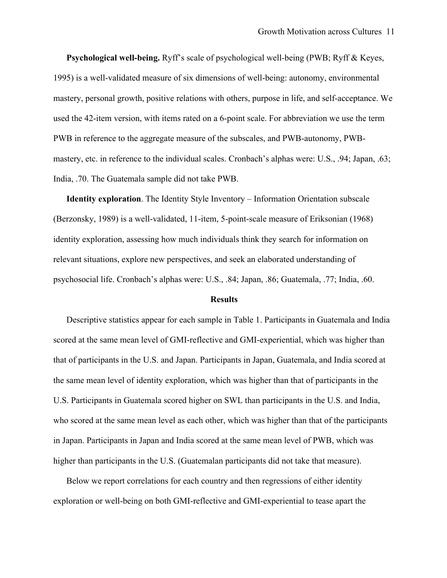**Psychological well-being.** Ryff's scale of psychological well-being (PWB; Ryff & Keyes, 1995) is a well-validated measure of six dimensions of well-being: autonomy, environmental mastery, personal growth, positive relations with others, purpose in life, and self-acceptance. We used the 42-item version, with items rated on a 6-point scale. For abbreviation we use the term PWB in reference to the aggregate measure of the subscales, and PWB-autonomy, PWBmastery, etc. in reference to the individual scales. Cronbach's alphas were: U.S., .94; Japan, .63; India, .70. The Guatemala sample did not take PWB.

**Identity exploration**. The Identity Style Inventory – Information Orientation subscale (Berzonsky, 1989) is a well-validated, 11-item, 5-point-scale measure of Eriksonian (1968) identity exploration, assessing how much individuals think they search for information on relevant situations, explore new perspectives, and seek an elaborated understanding of psychosocial life. Cronbach's alphas were: U.S., .84; Japan, .86; Guatemala, .77; India, .60.

#### **Results**

Descriptive statistics appear for each sample in Table 1. Participants in Guatemala and India scored at the same mean level of GMI-reflective and GMI-experiential, which was higher than that of participants in the U.S. and Japan. Participants in Japan, Guatemala, and India scored at the same mean level of identity exploration, which was higher than that of participants in the U.S. Participants in Guatemala scored higher on SWL than participants in the U.S. and India, who scored at the same mean level as each other, which was higher than that of the participants in Japan. Participants in Japan and India scored at the same mean level of PWB, which was higher than participants in the U.S. (Guatemalan participants did not take that measure).

Below we report correlations for each country and then regressions of either identity exploration or well-being on both GMI-reflective and GMI-experiential to tease apart the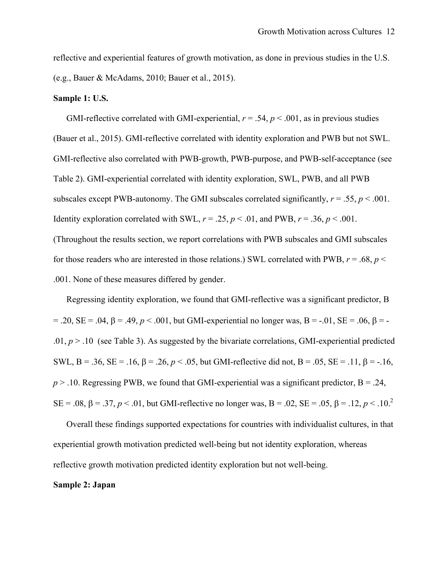reflective and experiential features of growth motivation, as done in previous studies in the U.S. (e.g., Bauer & McAdams, 2010; Bauer et al., 2015).

#### **Sample 1: U.S.**

GMI-reflective correlated with GMI-experiential,  $r = .54$ ,  $p < .001$ , as in previous studies (Bauer et al., 2015). GMI-reflective correlated with identity exploration and PWB but not SWL. GMI-reflective also correlated with PWB-growth, PWB-purpose, and PWB-self-acceptance (see Table 2). GMI-experiential correlated with identity exploration, SWL, PWB, and all PWB subscales except PWB-autonomy. The GMI subscales correlated significantly,  $r = .55$ ,  $p < .001$ . Identity exploration correlated with SWL,  $r = .25$ ,  $p < .01$ , and PWB,  $r = .36$ ,  $p < .001$ . (Throughout the results section, we report correlations with PWB subscales and GMI subscales

for those readers who are interested in those relations.) SWL correlated with PWB,  $r = .68$ ,  $p <$ .001. None of these measures differed by gender.

Regressing identity exploration, we found that GMI-reflective was a significant predictor, B  $= .20$ , SE = .04,  $\beta = .49$ ,  $p < .001$ , but GMI-experiential no longer was, B = -.01, SE = .06,  $\beta$  = -.01,  $p > 0.10$  (see Table 3). As suggested by the bivariate correlations, GMI-experiential predicted SWL, B = .36, SE = .16,  $\beta$  = .26,  $p < .05$ , but GMI-reflective did not, B = .05, SE = .11,  $\beta$  = -.16,  $p > 0.10$ . Regressing PWB, we found that GMI-experiential was a significant predictor,  $B = 0.24$ , SE = .08,  $\beta$  = .37,  $p < .01$ , but GMI-reflective no longer was, B = .02, SE = .05,  $\beta$  = .12,  $p < .10$ .<sup>2</sup>

Overall these findings supported expectations for countries with individualist cultures, in that experiential growth motivation predicted well-being but not identity exploration, whereas reflective growth motivation predicted identity exploration but not well-being.

## **Sample 2: Japan**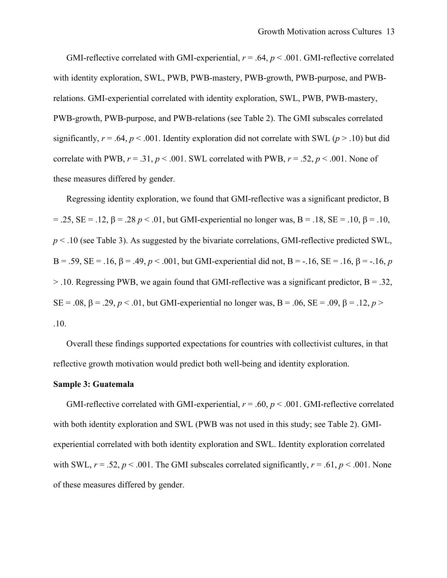GMI-reflective correlated with GMI-experiential,  $r = .64$ ,  $p < .001$ . GMI-reflective correlated with identity exploration, SWL, PWB, PWB-mastery, PWB-growth, PWB-purpose, and PWBrelations. GMI-experiential correlated with identity exploration, SWL, PWB, PWB-mastery, PWB-growth, PWB-purpose, and PWB-relations (see Table 2). The GMI subscales correlated significantly,  $r = .64$ ,  $p < .001$ . Identity exploration did not correlate with SWL ( $p > .10$ ) but did correlate with PWB,  $r = .31$ ,  $p < .001$ . SWL correlated with PWB,  $r = .52$ ,  $p < .001$ . None of these measures differed by gender.

Regressing identity exploration, we found that GMI-reflective was a significant predictor, B  $= .25$ , SE = .12,  $\beta = .28$  *p* < .01, but GMI-experiential no longer was, B = .18, SE = .10,  $\beta = .10$ , *p* < .10 (see Table 3). As suggested by the bivariate correlations, GMI-reflective predicted SWL, B = .59, SE = .16,  $\beta$  = .49,  $p < .001$ , but GMI-experiential did not, B = -.16, SE = .16,  $\beta$  = -.16, p  $>$  10. Regressing PWB, we again found that GMI-reflective was a significant predictor, B = .32, SE = .08,  $\beta$  = .29,  $p < 0.01$ , but GMI-experiential no longer was, B = .06, SE = .09,  $\beta$  = .12,  $p >$ .10.

Overall these findings supported expectations for countries with collectivist cultures, in that reflective growth motivation would predict both well-being and identity exploration.

#### **Sample 3: Guatemala**

GMI-reflective correlated with GMI-experiential, *r* = .60, *p* < .001. GMI-reflective correlated with both identity exploration and SWL (PWB was not used in this study; see Table 2). GMIexperiential correlated with both identity exploration and SWL. Identity exploration correlated with SWL,  $r = .52$ ,  $p < .001$ . The GMI subscales correlated significantly,  $r = .61$ ,  $p < .001$ . None of these measures differed by gender.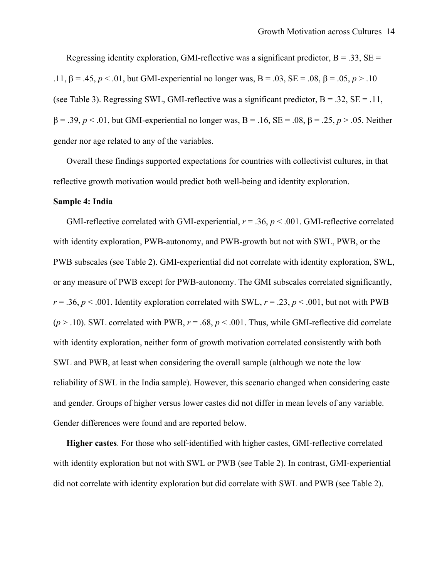Regressing identity exploration, GMI-reflective was a significant predictor,  $B = .33$ ,  $SE =$ .11,  $\beta = .45$ ,  $p < .01$ , but GMI-experiential no longer was,  $B = .03$ ,  $SE = .08$ ,  $\beta = .05$ ,  $p > .10$ (see Table 3). Regressing SWL, GMI-reflective was a significant predictor,  $B = .32$ ,  $SE = .11$ ,  $\beta = .39, p < .01$ , but GMI-experiential no longer was, B = .16, SE = .08,  $\beta = .25, p > .05$ . Neither gender nor age related to any of the variables.

Overall these findings supported expectations for countries with collectivist cultures, in that reflective growth motivation would predict both well-being and identity exploration.

#### **Sample 4: India**

GMI-reflective correlated with GMI-experiential,  $r = .36$ ,  $p < .001$ . GMI-reflective correlated with identity exploration, PWB-autonomy, and PWB-growth but not with SWL, PWB, or the PWB subscales (see Table 2). GMI-experiential did not correlate with identity exploration, SWL, or any measure of PWB except for PWB-autonomy. The GMI subscales correlated significantly,  $r = .36$ ,  $p < .001$ . Identity exploration correlated with SWL,  $r = .23$ ,  $p < .001$ , but not with PWB  $(p > 0.10)$ . SWL correlated with PWB,  $r = 0.68$ ,  $p < 0.001$ . Thus, while GMI-reflective did correlate with identity exploration, neither form of growth motivation correlated consistently with both SWL and PWB, at least when considering the overall sample (although we note the low reliability of SWL in the India sample). However, this scenario changed when considering caste and gender. Groups of higher versus lower castes did not differ in mean levels of any variable. Gender differences were found and are reported below.

**Higher castes**. For those who self-identified with higher castes, GMI-reflective correlated with identity exploration but not with SWL or PWB (see Table 2). In contrast, GMI-experiential did not correlate with identity exploration but did correlate with SWL and PWB (see Table 2).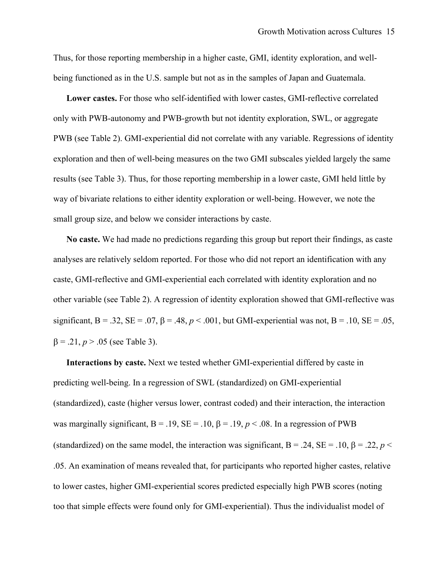Thus, for those reporting membership in a higher caste, GMI, identity exploration, and wellbeing functioned as in the U.S. sample but not as in the samples of Japan and Guatemala.

**Lower castes.** For those who self-identified with lower castes, GMI-reflective correlated only with PWB-autonomy and PWB-growth but not identity exploration, SWL, or aggregate PWB (see Table 2). GMI-experiential did not correlate with any variable. Regressions of identity exploration and then of well-being measures on the two GMI subscales yielded largely the same results (see Table 3). Thus, for those reporting membership in a lower caste, GMI held little by way of bivariate relations to either identity exploration or well-being. However, we note the small group size, and below we consider interactions by caste.

**No caste.** We had made no predictions regarding this group but report their findings, as caste analyses are relatively seldom reported. For those who did not report an identification with any caste, GMI-reflective and GMI-experiential each correlated with identity exploration and no other variable (see Table 2). A regression of identity exploration showed that GMI-reflective was significant, B = .32, SE = .07,  $\beta$  = .48,  $p < .001$ , but GMI-experiential was not, B = .10, SE = .05,  $\beta = .21, p > .05$  (see Table 3).

**Interactions by caste.** Next we tested whether GMI-experiential differed by caste in predicting well-being. In a regression of SWL (standardized) on GMI-experiential (standardized), caste (higher versus lower, contrast coded) and their interaction, the interaction was marginally significant,  $B = .19$ ,  $SE = .10$ ,  $\beta = .19$ ,  $p < .08$ . In a regression of PWB (standardized) on the same model, the interaction was significant,  $B = .24$ ,  $SE = .10$ ,  $\beta = .22$ ,  $p <$ .05. An examination of means revealed that, for participants who reported higher castes, relative to lower castes, higher GMI-experiential scores predicted especially high PWB scores (noting too that simple effects were found only for GMI-experiential). Thus the individualist model of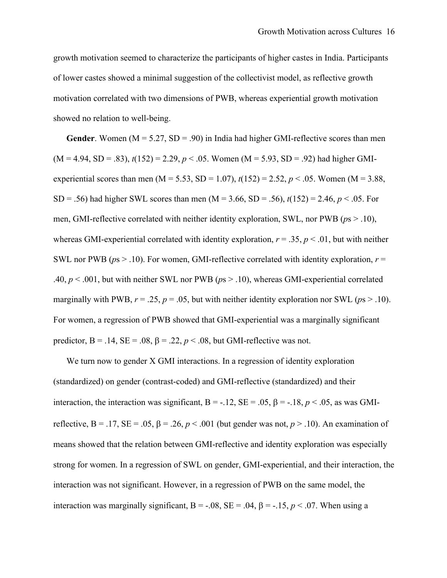growth motivation seemed to characterize the participants of higher castes in India. Participants of lower castes showed a minimal suggestion of the collectivist model, as reflective growth motivation correlated with two dimensions of PWB, whereas experiential growth motivation showed no relation to well-being.

**Gender**. Women  $(M = 5.27, SD = .90)$  in India had higher GMI-reflective scores than men  $(M = 4.94, SD = .83)$ ,  $t(152) = 2.29$ ,  $p < .05$ . Women  $(M = 5.93, SD = .92)$  had higher GMIexperiential scores than men (M = 5.53, SD = 1.07),  $t(152) = 2.52$ ,  $p < .05$ . Women (M = 3.88, SD = .56) had higher SWL scores than men (M = 3.66, SD = .56), *t*(152) = 2.46, *p* < .05. For men, GMI-reflective correlated with neither identity exploration, SWL, nor PWB (*p*s > .10), whereas GMI-experiential correlated with identity exploration,  $r = .35$ ,  $p < .01$ , but with neither SWL nor PWB ( $ps > .10$ ). For women, GMI-reflective correlated with identity exploration,  $r =$ .40, *p* < .001, but with neither SWL nor PWB (*p*s > .10), whereas GMI-experiential correlated marginally with PWB,  $r = .25$ ,  $p = .05$ , but with neither identity exploration nor SWL ( $p_s > .10$ ). For women, a regression of PWB showed that GMI-experiential was a marginally significant predictor,  $B = .14$ ,  $SE = .08$ ,  $\beta = .22$ ,  $p < .08$ , but GMI-reflective was not.

We turn now to gender X GMI interactions. In a regression of identity exploration (standardized) on gender (contrast-coded) and GMI-reflective (standardized) and their interaction, the interaction was significant,  $B = -.12$ ,  $SE = .05$ ,  $\beta = -.18$ ,  $p < .05$ , as was GMIreflective,  $B = .17$ ,  $SE = .05$ ,  $\beta = .26$ ,  $p < .001$  (but gender was not,  $p > .10$ ). An examination of means showed that the relation between GMI-reflective and identity exploration was especially strong for women. In a regression of SWL on gender, GMI-experiential, and their interaction, the interaction was not significant. However, in a regression of PWB on the same model, the interaction was marginally significant,  $B = -.08$ ,  $SE = .04$ ,  $\beta = -.15$ ,  $p < .07$ . When using a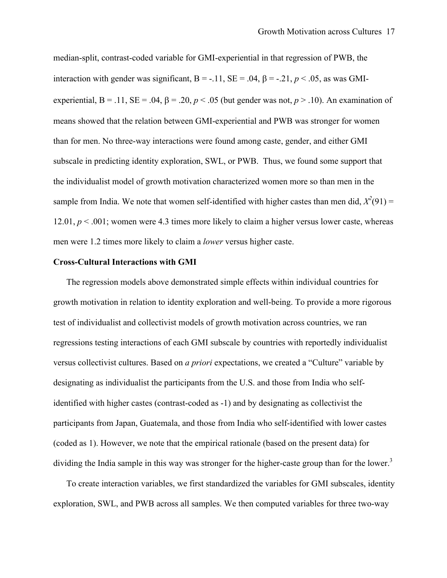median-split, contrast-coded variable for GMI-experiential in that regression of PWB, the interaction with gender was significant,  $B = -.11$ ,  $SE = .04$ ,  $\beta = -.21$ ,  $p < .05$ , as was GMIexperiential,  $B = .11$ ,  $SE = .04$ ,  $\beta = .20$ ,  $p < .05$  (but gender was not,  $p > .10$ ). An examination of means showed that the relation between GMI-experiential and PWB was stronger for women than for men. No three-way interactions were found among caste, gender, and either GMI subscale in predicting identity exploration, SWL, or PWB. Thus, we found some support that the individualist model of growth motivation characterized women more so than men in the sample from India. We note that women self-identified with higher castes than men did,  $X^2(91) =$ 12.01,  $p < 0.001$ ; women were 4.3 times more likely to claim a higher versus lower caste, whereas men were 1.2 times more likely to claim a *lower* versus higher caste.

## **Cross-Cultural Interactions with GMI**

The regression models above demonstrated simple effects within individual countries for growth motivation in relation to identity exploration and well-being. To provide a more rigorous test of individualist and collectivist models of growth motivation across countries, we ran regressions testing interactions of each GMI subscale by countries with reportedly individualist versus collectivist cultures. Based on *a priori* expectations, we created a "Culture" variable by designating as individualist the participants from the U.S. and those from India who selfidentified with higher castes (contrast-coded as -1) and by designating as collectivist the participants from Japan, Guatemala, and those from India who self-identified with lower castes (coded as 1). However, we note that the empirical rationale (based on the present data) for dividing the India sample in this way was stronger for the higher-caste group than for the lower.<sup>3</sup>

To create interaction variables, we first standardized the variables for GMI subscales, identity exploration, SWL, and PWB across all samples. We then computed variables for three two-way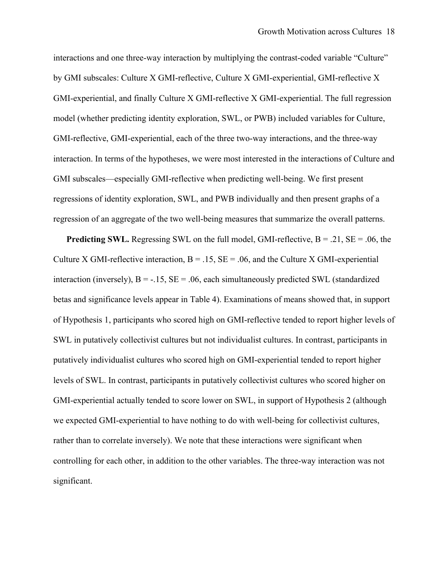interactions and one three-way interaction by multiplying the contrast-coded variable "Culture" by GMI subscales: Culture X GMI-reflective, Culture X GMI-experiential, GMI-reflective X GMI-experiential, and finally Culture X GMI-reflective X GMI-experiential. The full regression model (whether predicting identity exploration, SWL, or PWB) included variables for Culture, GMI-reflective, GMI-experiential, each of the three two-way interactions, and the three-way interaction. In terms of the hypotheses, we were most interested in the interactions of Culture and GMI subscales—especially GMI-reflective when predicting well-being. We first present regressions of identity exploration, SWL, and PWB individually and then present graphs of a regression of an aggregate of the two well-being measures that summarize the overall patterns.

**Predicting SWL.** Regressing SWL on the full model, GMI-reflective,  $B = .21$ ,  $SE = .06$ , the Culture X GMI-reflective interaction,  $B = 0.15$ ,  $SE = 0.06$ , and the Culture X GMI-experiential interaction (inversely),  $B = -.15$ ,  $SE = .06$ , each simultaneously predicted SWL (standardized betas and significance levels appear in Table 4). Examinations of means showed that, in support of Hypothesis 1, participants who scored high on GMI-reflective tended to report higher levels of SWL in putatively collectivist cultures but not individualist cultures. In contrast, participants in putatively individualist cultures who scored high on GMI-experiential tended to report higher levels of SWL. In contrast, participants in putatively collectivist cultures who scored higher on GMI-experiential actually tended to score lower on SWL, in support of Hypothesis 2 (although we expected GMI-experiential to have nothing to do with well-being for collectivist cultures, rather than to correlate inversely). We note that these interactions were significant when controlling for each other, in addition to the other variables. The three-way interaction was not significant.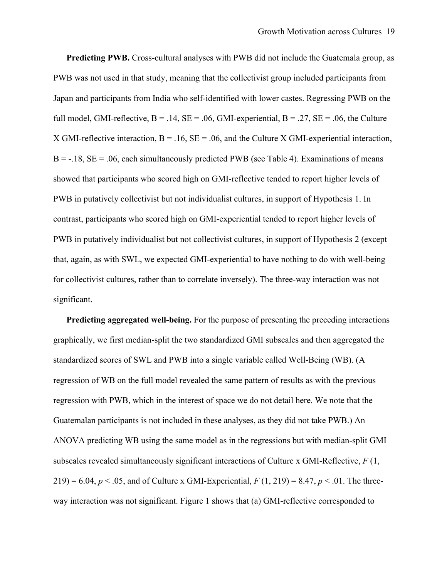**Predicting PWB.** Cross-cultural analyses with PWB did not include the Guatemala group, as PWB was not used in that study, meaning that the collectivist group included participants from Japan and participants from India who self-identified with lower castes. Regressing PWB on the full model, GMI-reflective,  $B = .14$ ,  $SE = .06$ , GMI-experiential,  $B = .27$ ,  $SE = .06$ , the Culture X GMI-reflective interaction,  $B = .16$ ,  $SE = .06$ , and the Culture X GMI-experiential interaction,  $B = -.18$ ,  $SE = .06$ , each simultaneously predicted PWB (see Table 4). Examinations of means showed that participants who scored high on GMI-reflective tended to report higher levels of PWB in putatively collectivist but not individualist cultures, in support of Hypothesis 1. In contrast, participants who scored high on GMI-experiential tended to report higher levels of PWB in putatively individualist but not collectivist cultures, in support of Hypothesis 2 (except that, again, as with SWL, we expected GMI-experiential to have nothing to do with well-being for collectivist cultures, rather than to correlate inversely). The three-way interaction was not significant.

**Predicting aggregated well-being.** For the purpose of presenting the preceding interactions graphically, we first median-split the two standardized GMI subscales and then aggregated the standardized scores of SWL and PWB into a single variable called Well-Being (WB). (A regression of WB on the full model revealed the same pattern of results as with the previous regression with PWB, which in the interest of space we do not detail here. We note that the Guatemalan participants is not included in these analyses, as they did not take PWB.) An ANOVA predicting WB using the same model as in the regressions but with median-split GMI subscales revealed simultaneously significant interactions of Culture x GMI-Reflective, *F* (1, 219) = 6.04,  $p < 0.05$ , and of Culture x GMI-Experiential,  $F(1, 219) = 8.47$ ,  $p < 0.01$ . The threeway interaction was not significant. Figure 1 shows that (a) GMI-reflective corresponded to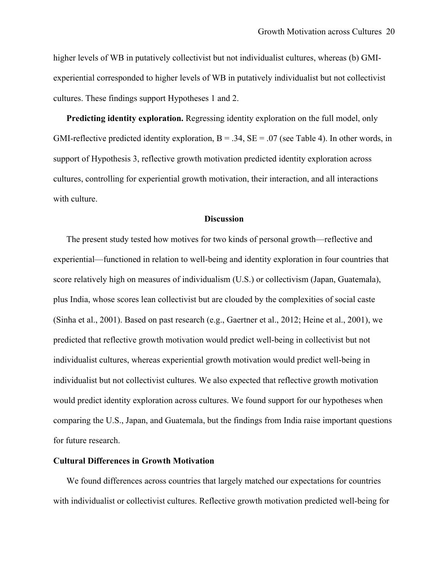higher levels of WB in putatively collectivist but not individualist cultures, whereas (b) GMIexperiential corresponded to higher levels of WB in putatively individualist but not collectivist cultures. These findings support Hypotheses 1 and 2.

**Predicting identity exploration.** Regressing identity exploration on the full model, only GMI-reflective predicted identity exploration,  $B = .34$ ,  $SE = .07$  (see Table 4). In other words, in support of Hypothesis 3, reflective growth motivation predicted identity exploration across cultures, controlling for experiential growth motivation, their interaction, and all interactions with culture.

## **Discussion**

The present study tested how motives for two kinds of personal growth—reflective and experiential—functioned in relation to well-being and identity exploration in four countries that score relatively high on measures of individualism (U.S.) or collectivism (Japan, Guatemala), plus India, whose scores lean collectivist but are clouded by the complexities of social caste (Sinha et al., 2001). Based on past research (e.g., Gaertner et al., 2012; Heine et al., 2001), we predicted that reflective growth motivation would predict well-being in collectivist but not individualist cultures, whereas experiential growth motivation would predict well-being in individualist but not collectivist cultures. We also expected that reflective growth motivation would predict identity exploration across cultures. We found support for our hypotheses when comparing the U.S., Japan, and Guatemala, but the findings from India raise important questions for future research.

## **Cultural Differences in Growth Motivation**

We found differences across countries that largely matched our expectations for countries with individualist or collectivist cultures. Reflective growth motivation predicted well-being for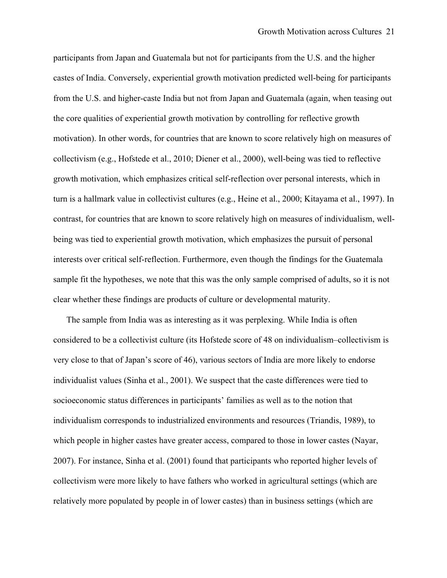participants from Japan and Guatemala but not for participants from the U.S. and the higher castes of India. Conversely, experiential growth motivation predicted well-being for participants from the U.S. and higher-caste India but not from Japan and Guatemala (again, when teasing out the core qualities of experiential growth motivation by controlling for reflective growth motivation). In other words, for countries that are known to score relatively high on measures of collectivism (e.g., Hofstede et al., 2010; Diener et al., 2000), well-being was tied to reflective growth motivation, which emphasizes critical self-reflection over personal interests, which in turn is a hallmark value in collectivist cultures (e.g., Heine et al., 2000; Kitayama et al., 1997). In contrast, for countries that are known to score relatively high on measures of individualism, wellbeing was tied to experiential growth motivation, which emphasizes the pursuit of personal interests over critical self-reflection. Furthermore, even though the findings for the Guatemala sample fit the hypotheses, we note that this was the only sample comprised of adults, so it is not clear whether these findings are products of culture or developmental maturity.

The sample from India was as interesting as it was perplexing. While India is often considered to be a collectivist culture (its Hofstede score of 48 on individualism–collectivism is very close to that of Japan's score of 46), various sectors of India are more likely to endorse individualist values (Sinha et al., 2001). We suspect that the caste differences were tied to socioeconomic status differences in participants' families as well as to the notion that individualism corresponds to industrialized environments and resources (Triandis, 1989), to which people in higher castes have greater access, compared to those in lower castes (Nayar, 2007). For instance, Sinha et al. (2001) found that participants who reported higher levels of collectivism were more likely to have fathers who worked in agricultural settings (which are relatively more populated by people in of lower castes) than in business settings (which are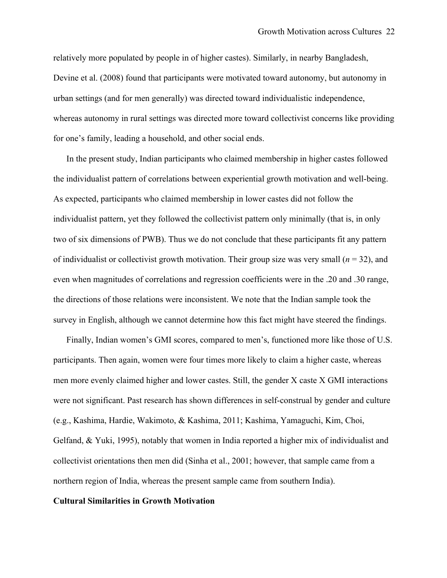relatively more populated by people in of higher castes). Similarly, in nearby Bangladesh, Devine et al. (2008) found that participants were motivated toward autonomy, but autonomy in urban settings (and for men generally) was directed toward individualistic independence, whereas autonomy in rural settings was directed more toward collectivist concerns like providing for one's family, leading a household, and other social ends.

In the present study, Indian participants who claimed membership in higher castes followed the individualist pattern of correlations between experiential growth motivation and well-being. As expected, participants who claimed membership in lower castes did not follow the individualist pattern, yet they followed the collectivist pattern only minimally (that is, in only two of six dimensions of PWB). Thus we do not conclude that these participants fit any pattern of individualist or collectivist growth motivation. Their group size was very small  $(n = 32)$ , and even when magnitudes of correlations and regression coefficients were in the .20 and .30 range, the directions of those relations were inconsistent. We note that the Indian sample took the survey in English, although we cannot determine how this fact might have steered the findings.

Finally, Indian women's GMI scores, compared to men's, functioned more like those of U.S. participants. Then again, women were four times more likely to claim a higher caste, whereas men more evenly claimed higher and lower castes. Still, the gender X caste X GMI interactions were not significant. Past research has shown differences in self-construal by gender and culture (e.g., Kashima, Hardie, Wakimoto, & Kashima, 2011; Kashima, Yamaguchi, Kim, Choi, Gelfand, & Yuki, 1995), notably that women in India reported a higher mix of individualist and collectivist orientations then men did (Sinha et al., 2001; however, that sample came from a northern region of India, whereas the present sample came from southern India).

## **Cultural Similarities in Growth Motivation**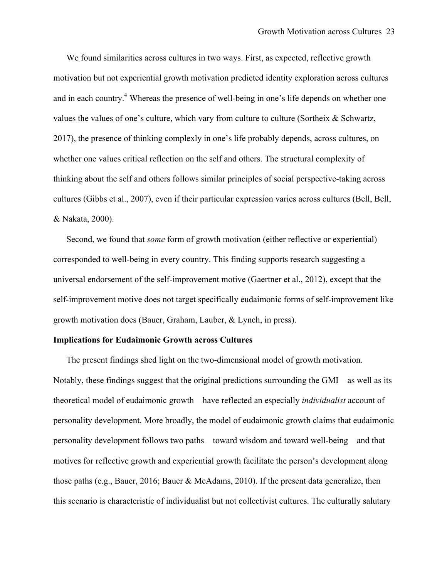We found similarities across cultures in two ways. First, as expected, reflective growth motivation but not experiential growth motivation predicted identity exploration across cultures and in each country.<sup>4</sup> Whereas the presence of well-being in one's life depends on whether one values the values of one's culture, which vary from culture to culture (Sortheix & Schwartz, 2017), the presence of thinking complexly in one's life probably depends, across cultures, on whether one values critical reflection on the self and others. The structural complexity of thinking about the self and others follows similar principles of social perspective-taking across cultures (Gibbs et al., 2007), even if their particular expression varies across cultures (Bell, Bell, & Nakata, 2000).

Second, we found that *some* form of growth motivation (either reflective or experiential) corresponded to well-being in every country. This finding supports research suggesting a universal endorsement of the self-improvement motive (Gaertner et al., 2012), except that the self-improvement motive does not target specifically eudaimonic forms of self-improvement like growth motivation does (Bauer, Graham, Lauber, & Lynch, in press).

#### **Implications for Eudaimonic Growth across Cultures**

The present findings shed light on the two-dimensional model of growth motivation. Notably, these findings suggest that the original predictions surrounding the GMI—as well as its theoretical model of eudaimonic growth—have reflected an especially *individualist* account of personality development. More broadly, the model of eudaimonic growth claims that eudaimonic personality development follows two paths—toward wisdom and toward well-being—and that motives for reflective growth and experiential growth facilitate the person's development along those paths (e.g., Bauer, 2016; Bauer & McAdams, 2010). If the present data generalize, then this scenario is characteristic of individualist but not collectivist cultures. The culturally salutary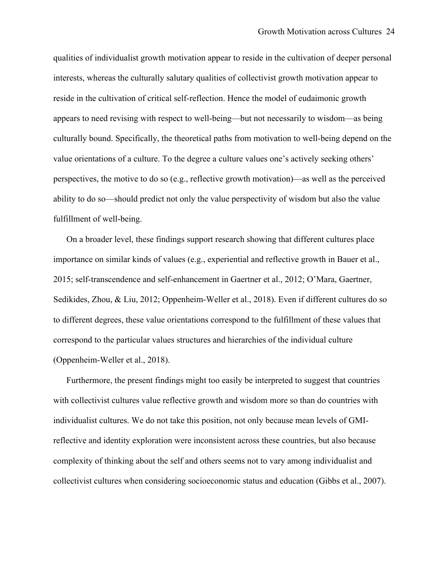qualities of individualist growth motivation appear to reside in the cultivation of deeper personal interests, whereas the culturally salutary qualities of collectivist growth motivation appear to reside in the cultivation of critical self-reflection. Hence the model of eudaimonic growth appears to need revising with respect to well-being—but not necessarily to wisdom—as being culturally bound. Specifically, the theoretical paths from motivation to well-being depend on the value orientations of a culture. To the degree a culture values one's actively seeking others' perspectives, the motive to do so (e.g., reflective growth motivation)—as well as the perceived ability to do so—should predict not only the value perspectivity of wisdom but also the value fulfillment of well-being.

On a broader level, these findings support research showing that different cultures place importance on similar kinds of values (e.g., experiential and reflective growth in Bauer et al., 2015; self-transcendence and self-enhancement in Gaertner et al., 2012; O'Mara, Gaertner, Sedikides, Zhou, & Liu, 2012; Oppenheim-Weller et al., 2018). Even if different cultures do so to different degrees, these value orientations correspond to the fulfillment of these values that correspond to the particular values structures and hierarchies of the individual culture (Oppenheim-Weller et al., 2018).

Furthermore, the present findings might too easily be interpreted to suggest that countries with collectivist cultures value reflective growth and wisdom more so than do countries with individualist cultures. We do not take this position, not only because mean levels of GMIreflective and identity exploration were inconsistent across these countries, but also because complexity of thinking about the self and others seems not to vary among individualist and collectivist cultures when considering socioeconomic status and education (Gibbs et al., 2007).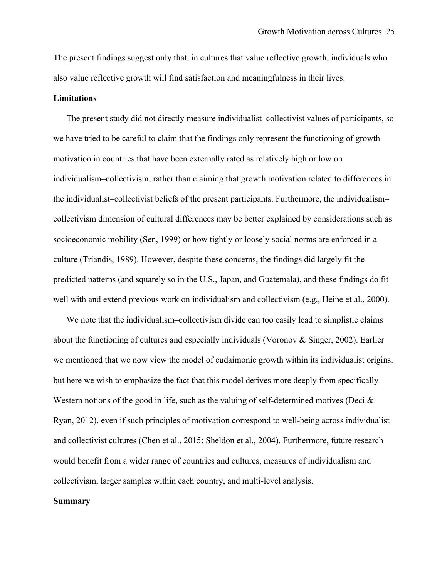The present findings suggest only that, in cultures that value reflective growth, individuals who also value reflective growth will find satisfaction and meaningfulness in their lives.

#### **Limitations**

The present study did not directly measure individualist–collectivist values of participants, so we have tried to be careful to claim that the findings only represent the functioning of growth motivation in countries that have been externally rated as relatively high or low on individualism–collectivism, rather than claiming that growth motivation related to differences in the individualist–collectivist beliefs of the present participants. Furthermore, the individualism– collectivism dimension of cultural differences may be better explained by considerations such as socioeconomic mobility (Sen, 1999) or how tightly or loosely social norms are enforced in a culture (Triandis, 1989). However, despite these concerns, the findings did largely fit the predicted patterns (and squarely so in the U.S., Japan, and Guatemala), and these findings do fit well with and extend previous work on individualism and collectivism (e.g., Heine et al., 2000).

We note that the individualism–collectivism divide can too easily lead to simplistic claims about the functioning of cultures and especially individuals (Voronov & Singer, 2002). Earlier we mentioned that we now view the model of eudaimonic growth within its individualist origins, but here we wish to emphasize the fact that this model derives more deeply from specifically Western notions of the good in life, such as the valuing of self-determined motives (Deci  $\&$ Ryan, 2012), even if such principles of motivation correspond to well-being across individualist and collectivist cultures (Chen et al., 2015; Sheldon et al., 2004). Furthermore, future research would benefit from a wider range of countries and cultures, measures of individualism and collectivism, larger samples within each country, and multi-level analysis.

## **Summary**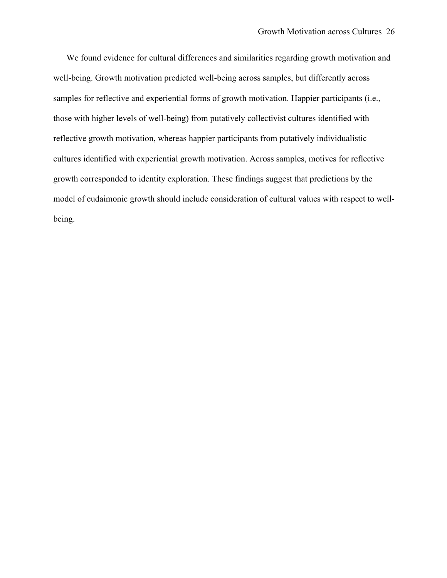We found evidence for cultural differences and similarities regarding growth motivation and well-being. Growth motivation predicted well-being across samples, but differently across samples for reflective and experiential forms of growth motivation. Happier participants (i.e., those with higher levels of well-being) from putatively collectivist cultures identified with reflective growth motivation, whereas happier participants from putatively individualistic cultures identified with experiential growth motivation. Across samples, motives for reflective growth corresponded to identity exploration. These findings suggest that predictions by the model of eudaimonic growth should include consideration of cultural values with respect to wellbeing.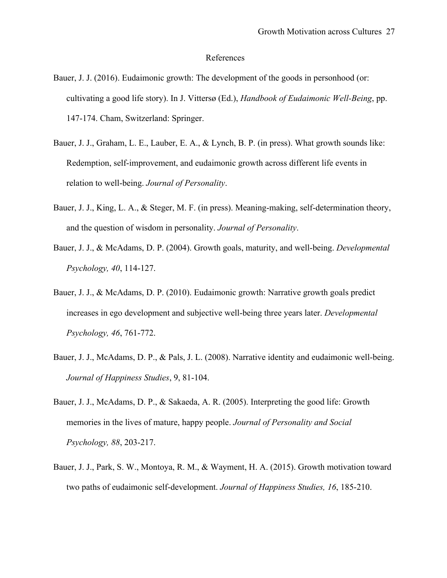## References

- Bauer, J. J. (2016). Eudaimonic growth: The development of the goods in personhood (or: cultivating a good life story). In J. Vittersø (Ed.), *Handbook of Eudaimonic Well-Being*, pp. 147-174. Cham, Switzerland: Springer.
- Bauer, J. J., Graham, L. E., Lauber, E. A., & Lynch, B. P. (in press). What growth sounds like: Redemption, self-improvement, and eudaimonic growth across different life events in relation to well-being. *Journal of Personality*.
- Bauer, J. J., King, L. A., & Steger, M. F. (in press). Meaning-making, self-determination theory, and the question of wisdom in personality. *Journal of Personality*.
- Bauer, J. J., & McAdams, D. P. (2004). Growth goals, maturity, and well-being. *Developmental Psychology, 40*, 114-127.
- Bauer, J. J., & McAdams, D. P. (2010). Eudaimonic growth: Narrative growth goals predict increases in ego development and subjective well-being three years later. *Developmental Psychology, 46*, 761-772.
- Bauer, J. J., McAdams, D. P., & Pals, J. L. (2008). Narrative identity and eudaimonic well-being. *Journal of Happiness Studies*, 9, 81-104.
- Bauer, J. J., McAdams, D. P., & Sakaeda, A. R. (2005). Interpreting the good life: Growth memories in the lives of mature, happy people. *Journal of Personality and Social Psychology, 88*, 203-217.
- Bauer, J. J., Park, S. W., Montoya, R. M., & Wayment, H. A. (2015). Growth motivation toward two paths of eudaimonic self-development. *Journal of Happiness Studies, 16*, 185-210.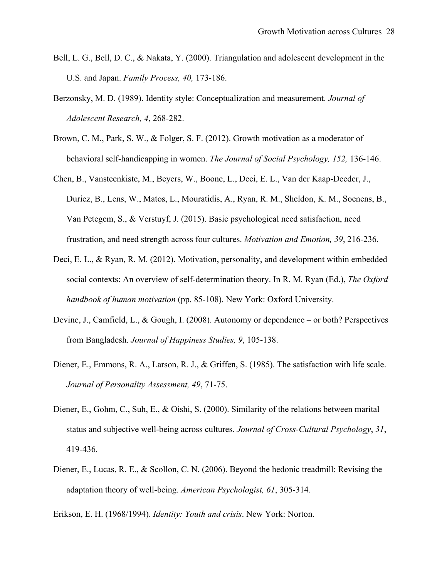- Bell, L. G., Bell, D. C., & Nakata, Y. (2000). Triangulation and adolescent development in the U.S. and Japan. *Family Process, 40,* 173-186.
- Berzonsky, M. D. (1989). Identity style: Conceptualization and measurement. *Journal of Adolescent Research, 4*, 268-282.
- Brown, C. M., Park, S. W., & Folger, S. F. (2012). Growth motivation as a moderator of behavioral self-handicapping in women. *The Journal of Social Psychology, 152,* 136-146.
- Chen, B., Vansteenkiste, M., Beyers, W., Boone, L., Deci, E. L., Van der Kaap-Deeder, J., Duriez, B., Lens, W., Matos, L., Mouratidis, A., Ryan, R. M., Sheldon, K. M., Soenens, B., Van Petegem, S., & Verstuyf, J. (2015). Basic psychological need satisfaction, need frustration, and need strength across four cultures. *Motivation and Emotion, 39*, 216-236.
- Deci, E. L., & Ryan, R. M. (2012). Motivation, personality, and development within embedded social contexts: An overview of self-determination theory. In R. M. Ryan (Ed.), *The Oxford handbook of human motivation* (pp. 85-108). New York: Oxford University.
- Devine, J., Camfield, L., & Gough, I. (2008). Autonomy or dependence or both? Perspectives from Bangladesh. *Journal of Happiness Studies, 9*, 105-138.
- Diener, E., Emmons, R. A., Larson, R. J., & Griffen, S. (1985). The satisfaction with life scale. *Journal of Personality Assessment, 49*, 71-75.
- Diener, E., Gohm, C., Suh, E., & Oishi, S. (2000). Similarity of the relations between marital status and subjective well-being across cultures. *Journal of Cross-Cultural Psychology*, *31*, 419-436.
- Diener, E., Lucas, R. E., & Scollon, C. N. (2006). Beyond the hedonic treadmill: Revising the adaptation theory of well-being. *American Psychologist, 61*, 305-314.

Erikson, E. H. (1968/1994). *Identity: Youth and crisis*. New York: Norton.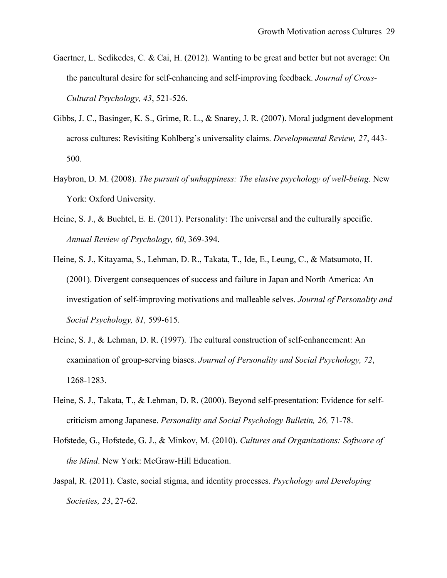- Gaertner, L. Sedikedes, C. & Cai, H. (2012). Wanting to be great and better but not average: On the pancultural desire for self-enhancing and self-improving feedback. *Journal of Cross-Cultural Psychology, 43*, 521-526.
- Gibbs, J. C., Basinger, K. S., Grime, R. L., & Snarey, J. R. (2007). Moral judgment development across cultures: Revisiting Kohlberg's universality claims. *Developmental Review, 27*, 443- 500.
- Haybron, D. M. (2008). *The pursuit of unhappiness: The elusive psychology of well-being*. New York: Oxford University.
- Heine, S. J., & Buchtel, E. E. (2011). Personality: The universal and the culturally specific. *Annual Review of Psychology, 60*, 369-394.
- Heine, S. J., Kitayama, S., Lehman, D. R., Takata, T., Ide, E., Leung, C., & Matsumoto, H. (2001). Divergent consequences of success and failure in Japan and North America: An investigation of self-improving motivations and malleable selves. *Journal of Personality and Social Psychology, 81,* 599-615.
- Heine, S. J., & Lehman, D. R. (1997). The cultural construction of self-enhancement: An examination of group-serving biases. *Journal of Personality and Social Psychology, 72*, 1268-1283.
- Heine, S. J., Takata, T., & Lehman, D. R. (2000). Beyond self-presentation: Evidence for selfcriticism among Japanese. *Personality and Social Psychology Bulletin, 26,* 71-78.
- Hofstede, G., Hofstede, G. J., & Minkov, M. (2010). *Cultures and Organizations: Software of the Mind*. New York: McGraw-Hill Education.
- Jaspal, R. (2011). Caste, social stigma, and identity processes. *Psychology and Developing Societies, 23*, 27-62.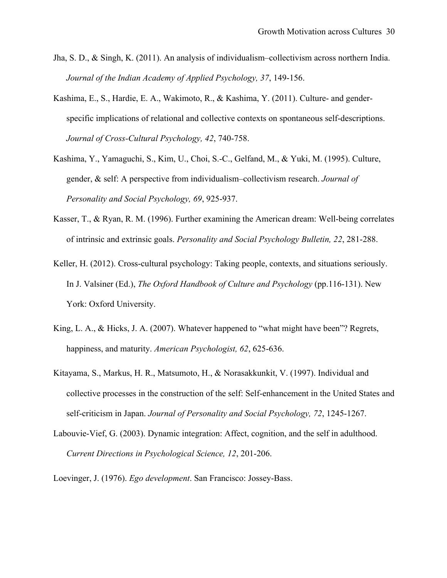- Jha, S. D., & Singh, K. (2011). An analysis of individualism–collectivism across northern India. *Journal of the Indian Academy of Applied Psychology, 37*, 149-156.
- Kashima, E., S., Hardie, E. A., Wakimoto, R., & Kashima, Y. (2011). Culture- and genderspecific implications of relational and collective contexts on spontaneous self-descriptions. *Journal of Cross-Cultural Psychology, 42*, 740-758.
- Kashima, Y., Yamaguchi, S., Kim, U., Choi, S.-C., Gelfand, M., & Yuki, M. (1995). Culture, gender, & self: A perspective from individualism–collectivism research. *Journal of Personality and Social Psychology, 69*, 925-937.
- Kasser, T., & Ryan, R. M. (1996). Further examining the American dream: Well-being correlates of intrinsic and extrinsic goals. *Personality and Social Psychology Bulletin, 22*, 281-288.
- Keller, H. (2012). Cross-cultural psychology: Taking people, contexts, and situations seriously. In J. Valsiner (Ed.), *The Oxford Handbook of Culture and Psychology* (pp.116-131). New York: Oxford University.
- King, L. A., & Hicks, J. A. (2007). Whatever happened to "what might have been"? Regrets, happiness, and maturity. *American Psychologist, 62*, 625-636.
- Kitayama, S., Markus, H. R., Matsumoto, H., & Norasakkunkit, V. (1997). Individual and collective processes in the construction of the self: Self-enhancement in the United States and self-criticism in Japan. *Journal of Personality and Social Psychology, 72*, 1245-1267.
- Labouvie-Vief, G. (2003). Dynamic integration: Affect, cognition, and the self in adulthood. *Current Directions in Psychological Science, 12*, 201-206.

Loevinger, J. (1976). *Ego development*. San Francisco: Jossey-Bass.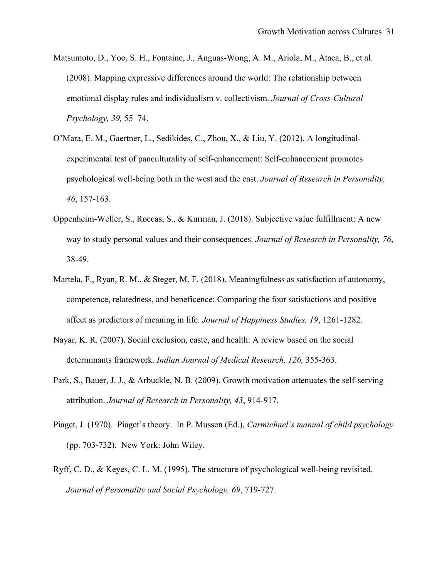- Matsumoto, D., Yoo, S. H., Fontaine, J., Anguas-Wong, A. M., Ariola, M., Ataca, B., et al. (2008). Mapping expressive differences around the world: The relationship between emotional display rules and individualism v. collectivism. *Journal of Cross-Cultural Psychology, 39,* 55–74.
- O'Mara, E. M., Gaertner, L., Sedikides, C., Zhou, X., & Liu, Y. (2012). A longitudinalexperimental test of panculturality of self-enhancement: Self-enhancement promotes psychological well-being both in the west and the east. *Journal of Research in Personality, 46*, 157-163.
- Oppenheim-Weller, S., Roccas, S., & Kurman, J. (2018). Subjective value fulfillment: A new way to study personal values and their consequences. *Journal of Research in Personality, 76*, 38-49.
- Martela, F., Ryan, R. M., & Steger, M. F. (2018). Meaningfulness as satisfaction of autonomy, competence, relatedness, and beneficence: Comparing the four satisfactions and positive affect as predictors of meaning in life. *Journal of Happiness Studies, 19*, 1261-1282.
- Nayar, K. R. (2007). Social exclusion, caste, and health: A review based on the social determinants framework. *Indian Journal of Medical Research, 126,* 355-363.
- Park, S., Bauer, J. J., & Arbuckle, N. B. (2009). Growth motivation attenuates the self-serving attribution. *Journal of Research in Personality, 43*, 914-917.
- Piaget, J. (1970). Piaget's theory. In P. Mussen (Ed.), *Carmichael's manual of child psychology* (pp. 703-732). New York: John Wiley.
- Ryff, C. D., & Keyes, C. L. M. (1995). The structure of psychological well-being revisited. *Journal of Personality and Social Psychology, 69*, 719-727.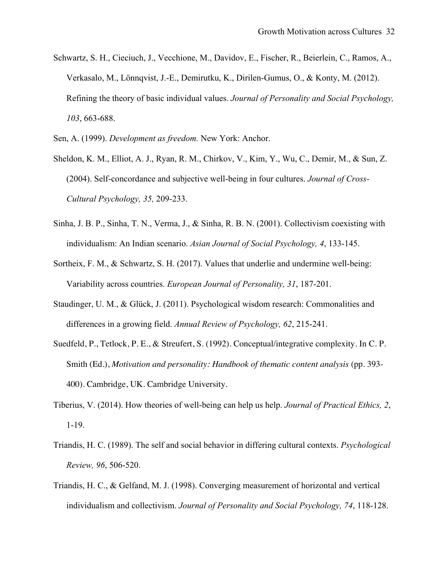Schwartz, S. H., Cieciuch, J., Vecchione, M., Davidov, E., Fischer, R., Beierlein, C., Ramos, A., Verkasalo, M., Lönnqvist, J.-E., Demirutku, K., Dirilen-Gumus, O., & Konty, M. (2012). Refining the theory of basic individual values. *Journal of Personality and Social Psychology, 103*, 663-688.

Sen, A. (1999). *Development as freedom.* New York: Anchor.

- Sheldon, K. M., Elliot, A. J., Ryan, R. M., Chirkov, V., Kim, Y., Wu, C., Demir, M., & Sun, Z. (2004). Self-concordance and subjective well-being in four cultures. *Journal of Cross-Cultural Psychology, 35,* 209-233.
- Sinha, J. B. P., Sinha, T. N., Verma, J., & Sinha, R. B. N. (2001). Collectivism coexisting with individualism: An Indian scenario. *Asian Journal of Social Psychology, 4*, 133-145.
- Sortheix, F. M., & Schwartz, S. H. (2017). Values that underlie and undermine well-being: Variability across countries. *European Journal of Personality, 31*, 187-201.
- Staudinger, U. M., & Glück, J. (2011). Psychological wisdom research: Commonalities and differences in a growing field. *Annual Review of Psychology, 62*, 215-241.
- Suedfeld, P., Tetlock, P. E., & Streufert, S. (1992). Conceptual/integrative complexity. In C. P. Smith (Ed.), *Motivation and personality: Handbook of thematic content analysis* (pp. 393-400). Cambridge, UK. Cambridge University.
- Tiberius, V. (2014). How theories of well-being can help us help. *Journal of Practical Ethics, 2*, 1-19.
- Triandis, H. C. (1989). The self and social behavior in differing cultural contexts. *Psychological Review, 96*, 506-520.
- Triandis, H. C., & Gelfand, M. J. (1998). Converging measurement of horizontal and vertical individualism and collectivism. *Journal of Personality and Social Psychology, 74*, 118-128.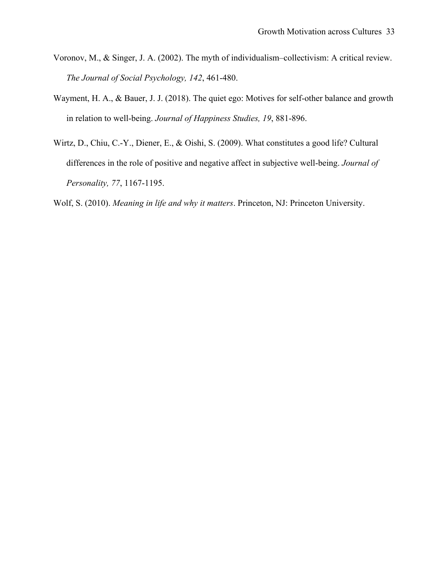- Voronov, M., & Singer, J. A. (2002). The myth of individualism–collectivism: A critical review. *The Journal of Social Psychology, 142*, 461-480.
- Wayment, H. A., & Bauer, J. J. (2018). The quiet ego: Motives for self-other balance and growth in relation to well-being. *Journal of Happiness Studies, 19*, 881-896.
- Wirtz, D., Chiu, C.-Y., Diener, E., & Oishi, S. (2009). What constitutes a good life? Cultural differences in the role of positive and negative affect in subjective well-being. *Journal of Personality, 77*, 1167-1195.

Wolf, S. (2010). *Meaning in life and why it matters*. Princeton, NJ: Princeton University.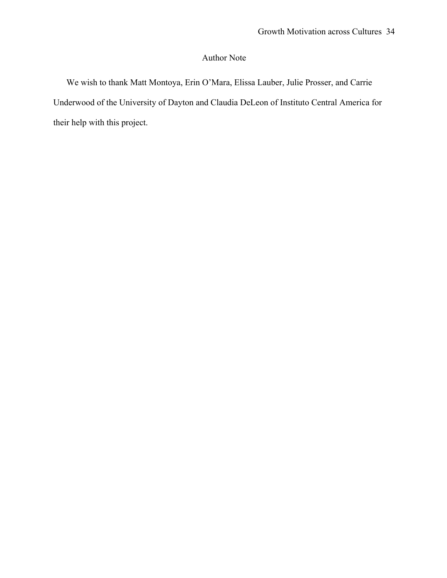# Author Note

We wish to thank Matt Montoya, Erin O'Mara, Elissa Lauber, Julie Prosser, and Carrie Underwood of the University of Dayton and Claudia DeLeon of Instituto Central America for their help with this project.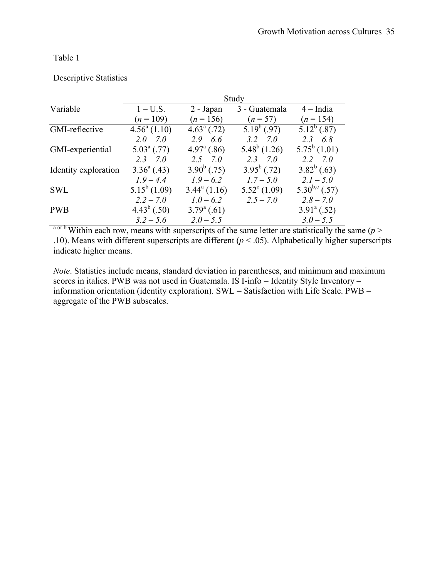|                      | Study                |                       |                       |                      |  |  |  |
|----------------------|----------------------|-----------------------|-----------------------|----------------------|--|--|--|
| Variable             | $1-U.S.$             | 2 - Japan             | 3 - Guatemala         | $4$ – India          |  |  |  |
|                      | $(n=109)$            | $(n = 156)$           | $(n = 57)$            | $(n = 154)$          |  |  |  |
| GMI-reflective       | $4.56^a(1.10)$       | $4.63^{\circ}$ (.72)  | $5.19^b$ (.97)        | $5.12^b$ (.87)       |  |  |  |
|                      | $2.0 - 7.0$          | $2.9 - 6.6$           | $3.2 - 7.0$           | $2.3 - 6.8$          |  |  |  |
| GMI-experiential     | $5.03^{\circ}$ (.77) | $4.97^{\rm a}$ (.86)  | $5.48^b$ (1.26)       | $5.75^b(1.01)$       |  |  |  |
|                      | $2.3 - 7.0$          | $2.5 - 7.0$           | $2.3 - 7.0$           | $2.2 - 7.0$          |  |  |  |
| Identity exploration | $3.36^{\circ}$ (.43) | $3.90^b$ (.75)        | $3.95^b$ (.72)        | $3.82^b$ (.63)       |  |  |  |
|                      | $1.9 - 4.4$          | $1.9 - 6.2$           | $1.7 - 5.0$           | $2.1 - 5.0$          |  |  |  |
| <b>SWL</b>           | $5.15^b(1.09)$       | $3.44^{\circ}$ (1.16) | $5.52^{\circ}$ (1.09) | $5.30^{b,c}$ (.57)   |  |  |  |
|                      | $2.2 - 7.0$          | $1.0 - 6.2$           | $2.5 - 7.0$           | $2.8 - 7.0$          |  |  |  |
| <b>PWB</b>           | $4.43^b$ (.50)       | $3.79^{\circ}$ (.61)  |                       | $3.91^{\circ}$ (.52) |  |  |  |
|                      | $3.2 - 5.6$          | $2.0 - 5.5$           |                       | $3.0 - 5.5$          |  |  |  |

## Descriptive Statistics

 $a^{\text{orb}}$  Within each row, means with superscripts of the same letter are statistically the same ( $p >$ .10). Means with different superscripts are different ( $p < .05$ ). Alphabetically higher superscripts indicate higher means.

*Note*. Statistics include means, standard deviation in parentheses, and minimum and maximum scores in italics. PWB was not used in Guatemala. IS I-info = Identity Style Inventory – information orientation (identity exploration). SWL = Satisfaction with Life Scale.  $\angle PWB =$ aggregate of the PWB subscales.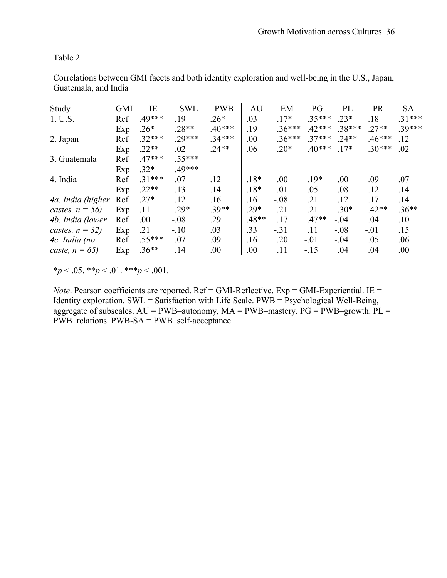| Study              | <b>GMI</b> | ΙE       | <b>SWL</b> | <b>PWB</b> | AU      | EM       | PG       | PL      | PR       | <b>SA</b> |
|--------------------|------------|----------|------------|------------|---------|----------|----------|---------|----------|-----------|
| 1. U.S.            | Ref        | $.49***$ | .19        | $.26*$     | .03     | $.17*$   | $.35***$ | $.23*$  | .18      | $.31***$  |
|                    | Exp        | $.26*$   | $.28**$    | $40***$    | .19     | $.36***$ | $42***$  | .38***  | $.27**$  | 39***     |
| 2. Japan           | Ref        | $.32***$ | $.29***$   | 34***      | .00     | $.36***$ | $37***$  | $.24**$ | $.46***$ | .12       |
|                    | Exp        | $.22**$  | $-.02$     | $24**$     | .06     | $.20*$   | $.40***$ | $.17*$  | $30***$  | $-.02$    |
| 3. Guatemala       | Ref        | $.47***$ | $.55***$   |            |         |          |          |         |          |           |
|                    | Exp        | $.32*$   | .49***     |            |         |          |          |         |          |           |
| 4. India           | Ref        | $.31***$ | .07        | .12        | $.18*$  | .00      | $.19*$   | .00     | .09      | .07       |
|                    | Exp        | $.22**$  | .13        | .14        | $.18*$  | .01      | .05      | .08     | .12      | .14       |
| 4a. India (higher  | Ref        | $.27*$   | .12        | .16        | .16     | $-.08$   | .21      | .12     | .17      | .14       |
| castes, $n = 56$ ) | Exp        | .11      | $.29*$     | $.39**$    | $.29*$  | .21      | .21      | $.30*$  | $.42**$  | $.36**$   |
| 4b. India (lower   | Ref        | .00      | $-.08$     | .29        | $.48**$ | .17      | $.47**$  | $-.04$  | .04      | .10       |
| castes, $n = 32$ ) | Exp        | .21      | $-.10$     | .03        | .33     | $-.31$   | .11      | $-.08$  | $-.01$   | .15       |
| 4c. India (no      | Ref        | $.55***$ | .07        | .09        | .16     | .20      | $-.01$   | $-.04$  | .05      | .06       |
| caste, $n = 65$ )  | Exp        | $.36**$  | .14        | .00.       | $.00\,$ | .11      | $-15$    | .04     | .04      | .00       |

Correlations between GMI facets and both identity exploration and well-being in the U.S., Japan, Guatemala, and India

 $**p* < .05.$   $**p* < .01.$   $**p* < .001.$ 

*Note*. Pearson coefficients are reported. Ref = GMI-Reflective. Exp = GMI-Experiential. IE = Identity exploration. SWL = Satisfaction with Life Scale.  $PWB = \overrightarrow{P}$ sychological Well-Being, aggregate of subscales.  $AU = PWB$ –autonomy,  $MA = PWB$ –mastery.  $PG = PWB$ –growth.  $PL =$ PWB–relations. PWB-SA = PWB–self-acceptance.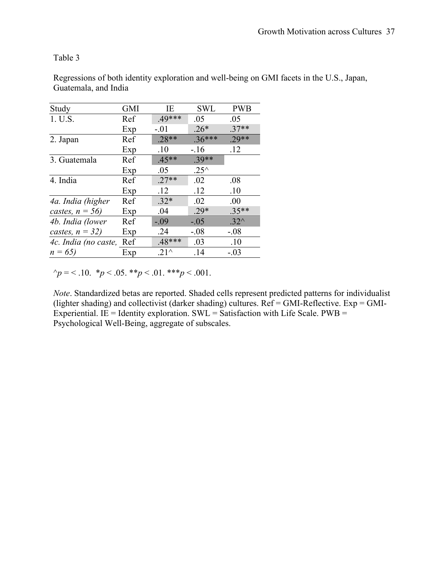| Study                | <b>GMI</b> | IE       | <b>SWL</b>     | <b>PWB</b> |
|----------------------|------------|----------|----------------|------------|
| 1. U.S.              | Ref        | $.49***$ | .05            | .05        |
|                      | Exp        | $-.01$   | $.26*$         | $.37**$    |
| 2. Japan             | Ref        | $.28**$  | $.36***$       | $29**$     |
|                      | Exp        | .10      | $-.16$         | .12        |
| 3. Guatemala         | Ref        | $.45**$  | $.39**$        |            |
|                      | Exp        | .05      | $.25^{\wedge}$ |            |
| 4. India             | Ref        | $.27**$  | .02            | .08        |
|                      | Exp        | .12      | .12            | .10        |
| 4a. India (higher    | Ref        | $.32*$   | .02            | .00        |
| castes, $n = 56$ )   | Exp        | .04      | $.29*$         | $.35**$    |
| 4b. India (lower     | Ref        | $-.09$   | $-.05$         | $.32^$     |
| castes, $n = 32$ )   | Exp        | .24      | $-.08$         | $-0.08$    |
| 4c. India (no caste, | Ref        | $.48***$ | .03            | .10        |
| $n = 65$             | Exp        | $.21^$   | .14            | $-.03$     |

Regressions of both identity exploration and well-being on GMI facets in the U.S., Japan, Guatemala, and India

 $\gamma_p = 5.10.$  \* $p \le 0.05.$  \*\* $p \le 0.01.$  \*\*\* $p \le 0.001.$ 

*Note*. Standardized betas are reported. Shaded cells represent predicted patterns for individualist (lighter shading) and collectivist (darker shading) cultures. Ref = GMI-Reflective. Exp = GMI-Experiential. IE = Identity exploration.  $SWL =$  Satisfaction with Life Scale.  $PWB =$ Psychological Well-Being, aggregate of subscales.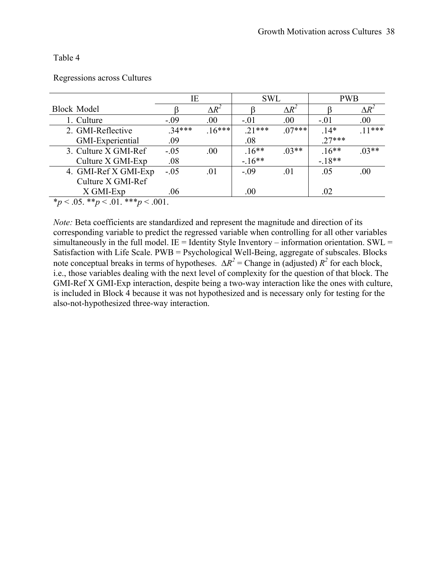Regressions across Cultures

|                                            | ΙE      |              | <b>SWL</b> |              | <b>PWB</b> |              |  |
|--------------------------------------------|---------|--------------|------------|--------------|------------|--------------|--|
| <b>Block Model</b>                         |         | $\Delta R^2$ |            | $\Delta R^2$ |            | $\Delta R^2$ |  |
| 1. Culture                                 | $-.09$  | .00.         | $-.01$     | .00.         | $-.01$     | .00.         |  |
| 2. GMI-Reflective                          | $34***$ | $.16***$     | $21***$    | $07***$      | $14*$      | $11***$      |  |
| GMI-Experiential                           | .09     |              | .08        |              | $.27***$   |              |  |
| 3. Culture X GMI-Ref                       | $-.05$  | .00.         | $.16***$   | $03**$       | $.16**$    | $03**$       |  |
| Culture X GMI-Exp                          | .08     |              | $-16**$    |              | $-18**$    |              |  |
| 4. GMI-Ref X GMI-Exp                       | $-.05$  | .01          | $-.09$     | .01          | .05        | .00          |  |
| Culture X GMI-Ref                          |         |              |            |              |            |              |  |
| X GMI-Exp                                  | .06     |              | .00        |              | .02        |              |  |
| * $p < .05.$ ** $p < .01.$ *** $p < .001.$ |         |              |            |              |            |              |  |

*Note:* Beta coefficients are standardized and represent the magnitude and direction of its corresponding variable to predict the regressed variable when controlling for all other variables simultaneously in the full model. IE = Identity Style Inventory – information orientation. SWL = Satisfaction with Life Scale. PWB = Psychological Well-Being, aggregate of subscales. Blocks note conceptual breaks in terms of hypotheses.  $\Delta R^2$  = Change in (adjusted)  $R^2$  for each block, i.e., those variables dealing with the next level of complexity for the question of that block. The GMI-Ref X GMI-Exp interaction, despite being a two-way interaction like the ones with culture, is included in Block 4 because it was not hypothesized and is necessary only for testing for the also-not-hypothesized three-way interaction.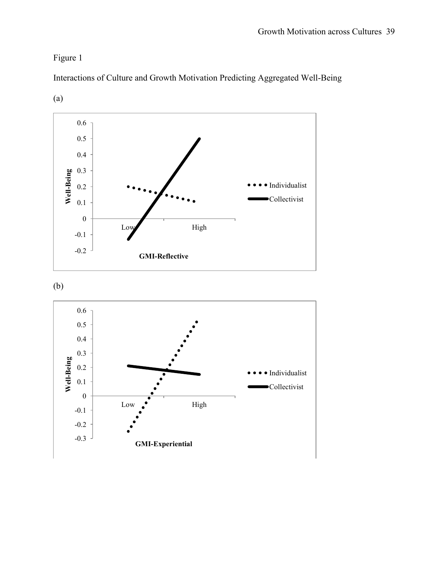Figure 1



Interactions of Culture and Growth Motivation Predicting Aggregated Well-Being